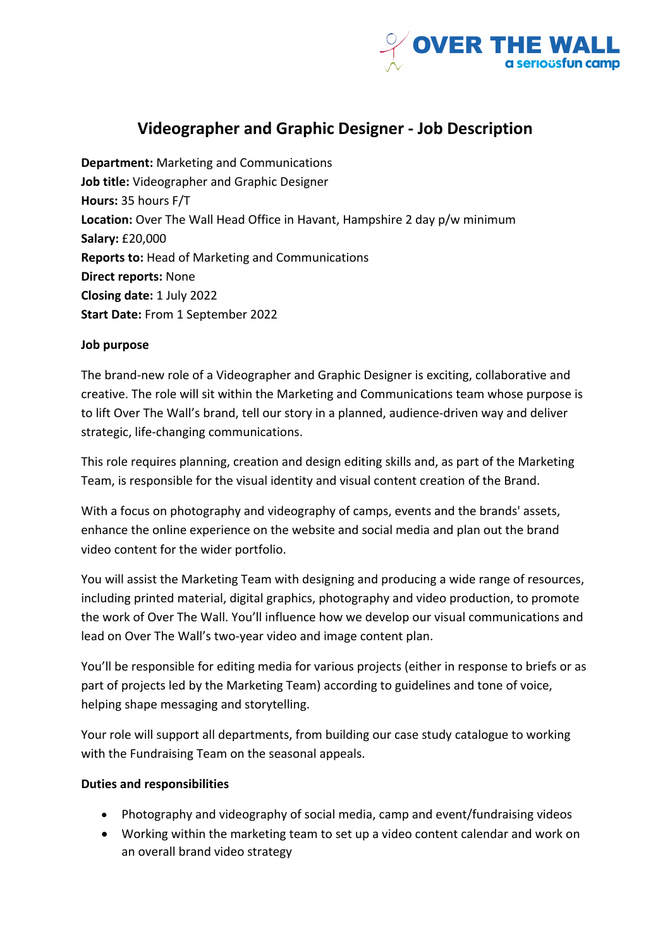

# **Videographer and Graphic Designer - Job Description**

**Department:** Marketing and Communications **Job title:** Videographer and Graphic Designer **Hours:** 35 hours F/T **Location:** Over The Wall Head Office in Havant, Hampshire 2 day p/w minimum **Salary:** £20,000 **Reports to:** Head of Marketing and Communications **Direct reports:** None **Closing date:** 1 July 2022 **Start Date:** From 1 September 2022

## **Job purpose**

The brand-new role of a Videographer and Graphic Designer is exciting, collaborative and creative. The role will sit within the Marketing and Communications team whose purpose is to lift Over The Wall's brand, tell our story in a planned, audience-driven way and deliver strategic, life-changing communications.

This role requires planning, creation and design editing skills and, as part of the Marketing Team, is responsible for the visual identity and visual content creation of the Brand.

With a focus on photography and videography of camps, events and the brands' assets, enhance the online experience on the website and social media and plan out the brand video content for the wider portfolio.

You will assist the Marketing Team with designing and producing a wide range of resources, including printed material, digital graphics, photography and video production, to promote the work of Over The Wall. You'll influence how we develop our visual communications and lead on Over The Wall's two-year video and image content plan.

You'll be responsible for editing media for various projects (either in response to briefs or as part of projects led by the Marketing Team) according to guidelines and tone of voice, helping shape messaging and storytelling.

Your role will support all departments, from building our case study catalogue to working with the Fundraising Team on the seasonal appeals.

## **Duties and responsibilities**

- Photography and videography of social media, camp and event/fundraising videos
- Working within the marketing team to set up a video content calendar and work on an overall brand video strategy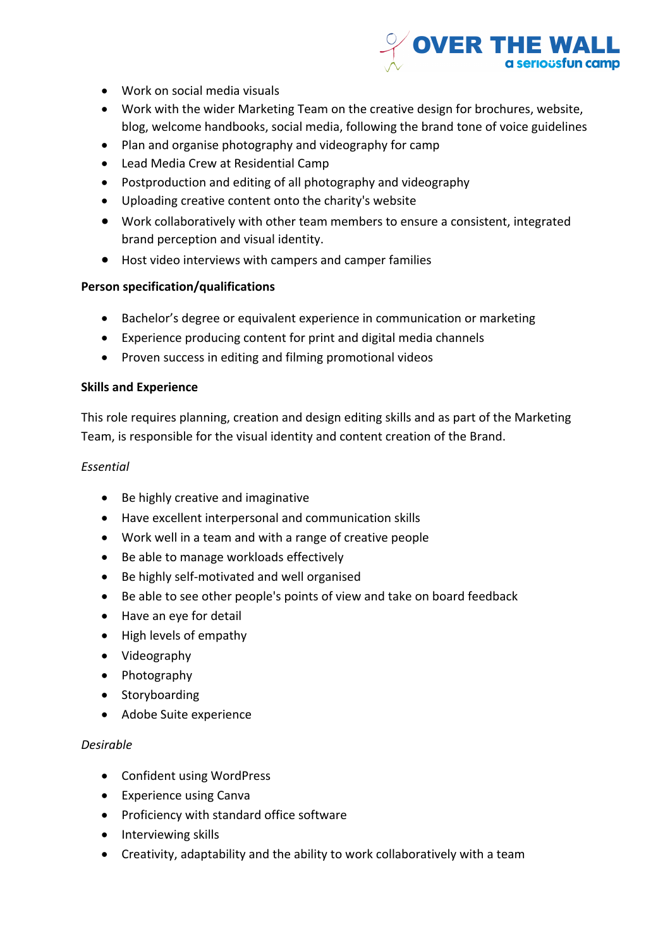

- Work on social media visuals
- Work with the wider Marketing Team on the creative design for brochures, website, blog, welcome handbooks, social media, following the brand tone of voice guidelines
- Plan and organise photography and videography for camp
- Lead Media Crew at Residential Camp
- Postproduction and editing of all photography and videography
- Uploading creative content onto the charity's website
- Work collaboratively with other team members to ensure a consistent, integrated brand perception and visual identity.
- Host video interviews with campers and camper families

#### **Person specification/qualifications**

- Bachelor's degree or equivalent experience in communication or marketing
- Experience producing content for print and digital media channels
- Proven success in editing and filming promotional videos

#### **Skills and Experience**

This role requires planning, creation and design editing skills and as part of the Marketing Team, is responsible for the visual identity and content creation of the Brand.

#### *Essential*

- Be highly creative and imaginative
- Have excellent interpersonal and communication skills
- Work well in a team and with a range of creative people
- Be able to manage workloads effectively
- Be highly self-motivated and well organised
- Be able to see other people's points of view and take on board feedback
- Have an eye for detail
- High levels of empathy
- Videography
- Photography
- Storyboarding
- Adobe Suite experience

#### *Desirable*

- Confident using WordPress
- Experience using Canva
- Proficiency with standard office software
- Interviewing skills
- Creativity, adaptability and the ability to work collaboratively with a team